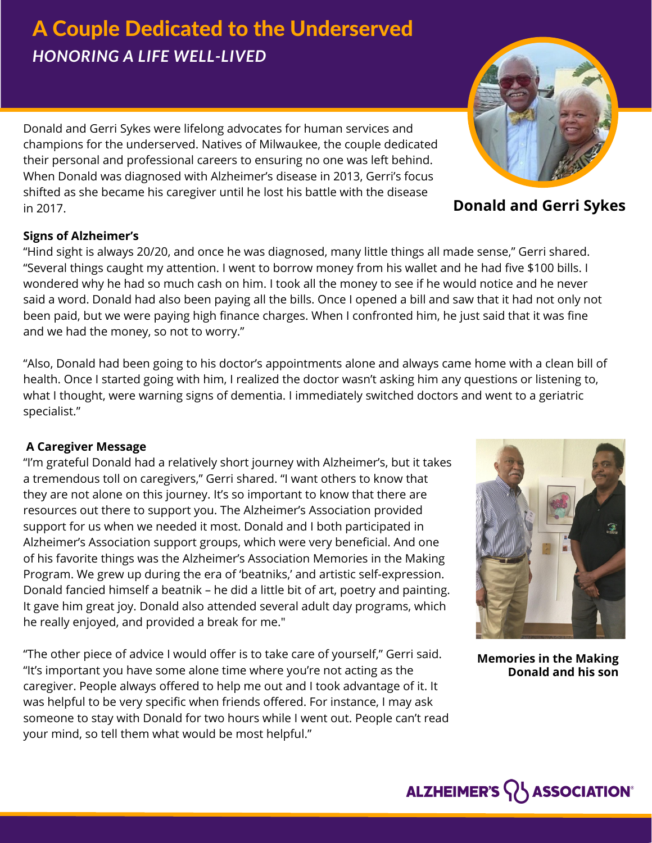## A Couple Dedicated to the Underserved *HONORING A LIFE WELL-LIVED*

Donald and Gerri Sykes were lifelong advocates for human services and champions for the underserved. Natives of Milwaukee, the couple dedicated their personal and professional careers to ensuring no one was left behind. When Donald was diagnosed with Alzheimer's disease in 2013, Gerri's focus shifted as she became his caregiver until he lost his battle with the disease in 2017.

#### **Signs of Alzheimer's**

"Hind sight is always 20/20, and once he was diagnosed, many little things all made sense," Gerri shared. "Several things caught my attention. I went to borrow money from his wallet and he had five \$100 bills. I wondered why he had so much cash on him. I took all the money to see if he would notice and he never said a word. Donald had also been paying all the bills. Once I opened a bill and saw that it had not only not been paid, but we were paying high finance charges. When I confronted him, he just said that it was fine and we had the money, so not to worry."

"Also, Donald had been going to his doctor's appointments alone and always came home with a clean bill of health. Once I started going with him, I realized the doctor wasn't asking him any questions or listening to, what I thought, were warning signs of dementia. I immediately switched doctors and went to a geriatric specialist."

### **A Caregiver Message**

"I'm grateful Donald had a relatively short journey with Alzheimer's, but it takes a tremendous toll on caregivers," Gerri shared. "I want others to know that they are not alone on this journey. It's so important to know that there are resources out there to support you. The Alzheimer's Association provided support for us when we needed it most. Donald and I both participated in Alzheimer's Association support groups, which were very beneficial. And one of his favorite things was the Alzheimer's Association Memories in the Making Program. We grew up during the era of 'beatniks,' and artistic self-expression. Donald fancied himself a beatnik – he did a little bit of art, poetry and painting. It gave him great joy. Donald also attended several adult day programs, which he really enjoyed, and provided a break for me."

"The other piece of advice I would offer is to take care of yourself," Gerri said. "It's important you have some alone time where you're not acting as the caregiver. People always offered to help me out and I took advantage of it. It was helpful to be very specific when friends offered. For instance, I may ask someone to stay with Donald for two hours while I went out. People can't read your mind, so tell them what would be most helpful."



# **ALZHEIMER'S**  $\{ \}$  **ASSOCIATION**





**Donald and Gerri Sykes**